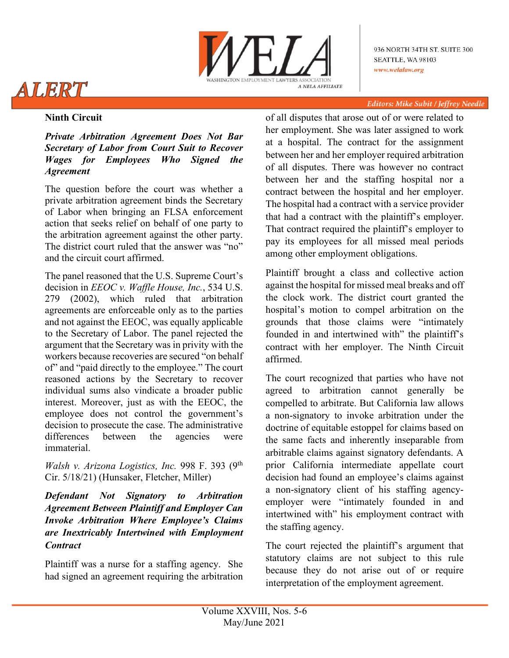

936 NORTH 34TH ST. SUITE 300 SEATTLE, WA 98103 www.welalaw.org

#### **Editors: Mike Subit / Jeffrey Needle**

# ALERT

#### **Ninth Circuit**

*Private Arbitration Agreement Does Not Bar Secretary of Labor from Court Suit to Recover Wages for Employees Who Signed the Agreement*

The question before the court was whether a private arbitration agreement binds the Secretary of Labor when bringing an FLSA enforcement action that seeks relief on behalf of one party to the arbitration agreement against the other party. The district court ruled that the answer was "no" and the circuit court affirmed.

The panel reasoned that the U.S. Supreme Court's decision in *EEOC v. Waffle House, Inc.*, 534 U.S. 279 (2002), which ruled that arbitration agreements are enforceable only as to the parties and not against the EEOC, was equally applicable to the Secretary of Labor. The panel rejected the argument that the Secretary was in privity with the workers because recoveries are secured "on behalf of" and "paid directly to the employee." The court reasoned actions by the Secretary to recover individual sums also vindicate a broader public interest. Moreover, just as with the EEOC, the employee does not control the government's decision to prosecute the case. The administrative differences between the agencies were immaterial.

*Walsh v. Arizona Logistics, Inc.* 998 F. 393 (9th Cir. 5/18/21) (Hunsaker, Fletcher, Miller)

*Defendant Not Signatory to Arbitration Agreement Between Plaintiff and Employer Can Invoke Arbitration Where Employee's Claims are Inextricably Intertwined with Employment Contract*

Plaintiff was a nurse for a staffing agency. She had signed an agreement requiring the arbitration of all disputes that arose out of or were related to her employment. She was later assigned to work at a hospital. The contract for the assignment between her and her employer required arbitration of all disputes. There was however no contract between her and the staffing hospital nor a contract between the hospital and her employer. The hospital had a contract with a service provider that had a contract with the plaintiff's employer. That contract required the plaintiff's employer to pay its employees for all missed meal periods among other employment obligations.

Plaintiff brought a class and collective action against the hospital for missed meal breaks and off the clock work. The district court granted the hospital's motion to compel arbitration on the grounds that those claims were "intimately founded in and intertwined with" the plaintiff's contract with her employer. The Ninth Circuit affirmed.

The court recognized that parties who have not agreed to arbitration cannot generally be compelled to arbitrate. But California law allows a non-signatory to invoke arbitration under the doctrine of equitable estoppel for claims based on the same facts and inherently inseparable from arbitrable claims against signatory defendants. A prior California intermediate appellate court decision had found an employee's claims against a non-signatory client of his staffing agencyemployer were "intimately founded in and intertwined with" his employment contract with the staffing agency.

The court rejected the plaintiff's argument that statutory claims are not subject to this rule because they do not arise out of or require interpretation of the employment agreement.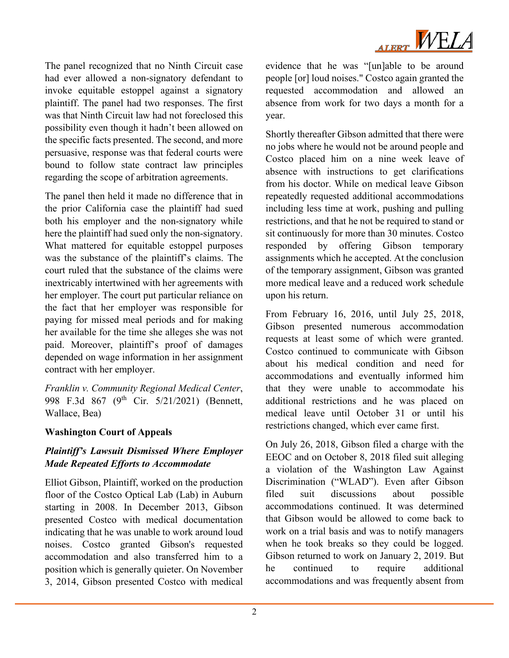

The panel recognized that no Ninth Circuit case had ever allowed a non-signatory defendant to invoke equitable estoppel against a signatory plaintiff. The panel had two responses. The first was that Ninth Circuit law had not foreclosed this possibility even though it hadn't been allowed on the specific facts presented. The second, and more persuasive, response was that federal courts were bound to follow state contract law principles regarding the scope of arbitration agreements.

The panel then held it made no difference that in the prior California case the plaintiff had sued both his employer and the non-signatory while here the plaintiff had sued only the non-signatory. What mattered for equitable estoppel purposes was the substance of the plaintiff's claims. The court ruled that the substance of the claims were inextricably intertwined with her agreements with her employer. The court put particular reliance on the fact that her employer was responsible for paying for missed meal periods and for making her available for the time she alleges she was not paid. Moreover, plaintiff's proof of damages depended on wage information in her assignment contract with her employer.

*Franklin v. Community Regional Medical Center*, 998 F.3d 867 (9<sup>th</sup> Cir. 5/21/2021) (Bennett, Wallace, Bea)

### **Washington Court of Appeals**

# *Plaintiff's Lawsuit Dismissed Where Employer Made Repeated Efforts to Accommodate*

Elliot Gibson, Plaintiff, worked on the production floor of the Costco Optical Lab (Lab) in Auburn starting in 2008. In December 2013, Gibson presented Costco with medical documentation indicating that he was unable to work around loud noises. Costco granted Gibson's requested accommodation and also transferred him to a position which is generally quieter. On November 3, 2014, Gibson presented Costco with medical

evidence that he was "[un]able to be around people [or] loud noises." Costco again granted the requested accommodation and allowed an absence from work for two days a month for a year.

Shortly thereafter Gibson admitted that there were no jobs where he would not be around people and Costco placed him on a nine week leave of absence with instructions to get clarifications from his doctor. While on medical leave Gibson repeatedly requested additional accommodations including less time at work, pushing and pulling restrictions, and that he not be required to stand or sit continuously for more than 30 minutes. Costco responded by offering Gibson temporary assignments which he accepted. At the conclusion of the temporary assignment, Gibson was granted more medical leave and a reduced work schedule upon his return.

From February 16, 2016, until July 25, 2018, Gibson presented numerous accommodation requests at least some of which were granted. Costco continued to communicate with Gibson about his medical condition and need for accommodations and eventually informed him that they were unable to accommodate his additional restrictions and he was placed on medical leave until October 31 or until his restrictions changed, which ever came first.

On July 26, 2018, Gibson filed a charge with the EEOC and on October 8, 2018 filed suit alleging a violation of the Washington Law Against Discrimination ("WLAD"). Even after Gibson filed suit discussions about possible accommodations continued. It was determined that Gibson would be allowed to come back to work on a trial basis and was to notify managers when he took breaks so they could be logged. Gibson returned to work on January 2, 2019. But he continued to require additional accommodations and was frequently absent from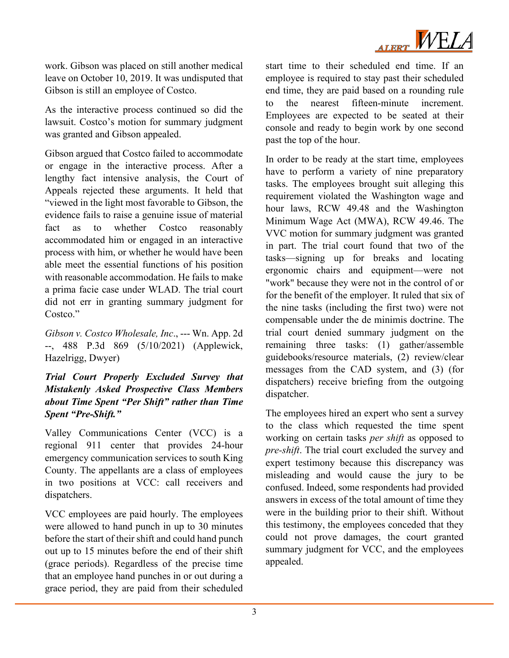

work. Gibson was placed on still another medical leave on October 10, 2019. It was undisputed that Gibson is still an employee of Costco.

As the interactive process continued so did the lawsuit. Costco's motion for summary judgment was granted and Gibson appealed.

Gibson argued that Costco failed to accommodate or engage in the interactive process. After a lengthy fact intensive analysis, the Court of Appeals rejected these arguments. It held that "viewed in the light most favorable to Gibson, the evidence fails to raise a genuine issue of material fact as to whether Costco reasonably accommodated him or engaged in an interactive process with him, or whether he would have been able meet the essential functions of his position with reasonable accommodation. He fails to make a prima facie case under WLAD. The trial court did not err in granting summary judgment for Costco."

*Gibson v. Costco Wholesale, Inc*., --- Wn. App. 2d --, 488 P.3d 869 (5/10/2021) (Applewick, Hazelrigg, Dwyer)

# *Trial Court Properly Excluded Survey that Mistakenly Asked Prospective Class Members about Time Spent "Per Shift" rather than Time Spent "Pre-Shift."*

Valley Communications Center (VCC) is a regional 911 center that provides 24-hour emergency communication services to south King County. The appellants are a class of employees in two positions at VCC: call receivers and dispatchers.

VCC employees are paid hourly. The employees were allowed to hand punch in up to 30 minutes before the start of their shift and could hand punch out up to 15 minutes before the end of their shift (grace periods). Regardless of the precise time that an employee hand punches in or out during a grace period, they are paid from their scheduled

start time to their scheduled end time. If an employee is required to stay past their scheduled end time, they are paid based on a rounding rule to the nearest fifteen-minute increment. Employees are expected to be seated at their console and ready to begin work by one second past the top of the hour.

In order to be ready at the start time, employees have to perform a variety of nine preparatory tasks. The employees brought suit alleging this requirement violated the Washington wage and hour laws, RCW 49.48 and the Washington Minimum Wage Act (MWA), RCW 49.46. The VVC motion for summary judgment was granted in part. The trial court found that two of the tasks—signing up for breaks and locating ergonomic chairs and equipment—were not "work" because they were not in the control of or for the benefit of the employer. It ruled that six of the nine tasks (including the first two) were not compensable under the de minimis doctrine. The trial court denied summary judgment on the remaining three tasks: (1) gather/assemble guidebooks/resource materials, (2) review/clear messages from the CAD system, and (3) (for dispatchers) receive briefing from the outgoing dispatcher.

The employees hired an expert who sent a survey to the class which requested the time spent working on certain tasks *per shift* as opposed to *pre-shift*. The trial court excluded the survey and expert testimony because this discrepancy was misleading and would cause the jury to be confused. Indeed, some respondents had provided answers in excess of the total amount of time they were in the building prior to their shift. Without this testimony, the employees conceded that they could not prove damages, the court granted summary judgment for VCC, and the employees appealed.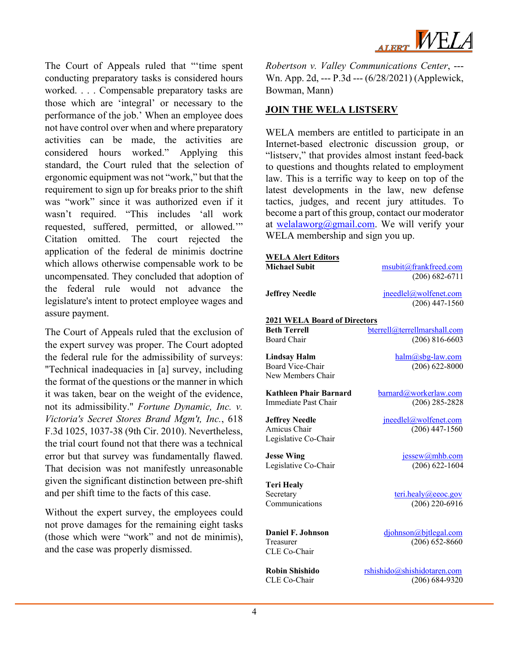ALERT WELA

The Court of Appeals ruled that "'time spent conducting preparatory tasks is considered hours worked. . . . Compensable preparatory tasks are those which are 'integral' or necessary to the performance of the job.' When an employee does not have control over when and where preparatory activities can be made, the activities are considered hours worked." Applying this standard, the Court ruled that the selection of ergonomic equipment was not "work," but that the requirement to sign up for breaks prior to the shift was "work" since it was authorized even if it wasn't required. "This includes 'all work requested, suffered, permitted, or allowed.'" Citation omitted. The court rejected the application of the federal de minimis doctrine which allows otherwise compensable work to be uncompensated. They concluded that adoption of the federal rule would not advance the legislature's intent to protect employee wages and assure payment.

The Court of Appeals ruled that the exclusion of the expert survey was proper. The Court adopted the federal rule for the admissibility of surveys: "Technical inadequacies in [a] survey, including the format of the questions or the manner in which it was taken, bear on the weight of the evidence, not its admissibility." *Fortune Dynamic, Inc. v. Victoria's Secret Stores Brand Mgm't, Inc.*, 618 F.3d 1025, 1037-38 (9th Cir. 2010). Nevertheless, the trial court found not that there was a technical error but that survey was fundamentally flawed. That decision was not manifestly unreasonable given the significant distinction between pre-shift and per shift time to the facts of this case.

Without the expert survey, the employees could not prove damages for the remaining eight tasks (those which were "work" and not de minimis), and the case was properly dismissed.

*Robertson v. Valley Communications Center*, --- Wn. App. 2d, --- P.3d --- (6/28/2021) (Applewick, Bowman, Mann)

#### **JOIN THE WELA LISTSERV**

WELA members are entitled to participate in an Internet-based electronic discussion group, or "listserv," that provides almost instant feed-back to questions and thoughts related to employment law. This is a terrific way to keep on top of the latest developments in the law, new defense tactics, judges, and recent jury attitudes. To become a part of this group, contact our moderator at [welalaworg@gmail.com.](mailto:welalaworg@gmail.com) We will verify your WELA membership and sign you up.

| <b>WELA Alert Editors</b>             |                                           |  |
|---------------------------------------|-------------------------------------------|--|
| <b>Michael Subit</b>                  | msubit@frankfreed.com                     |  |
|                                       | $(206) 682 - 6711$                        |  |
| <b>Jeffrey Needle</b>                 | jneedlel@wolfenet.com                     |  |
|                                       | $(206)$ 447-1560                          |  |
| <b>2021 WELA Board of Directors</b>   |                                           |  |
| <b>Beth Terrell</b>                   | bterrell@terrellmarshall.com              |  |
| Board Chair                           | $(206) 816 - 6603$                        |  |
|                                       |                                           |  |
| <b>Lindsay Halm</b>                   | halm@sbg-law.com                          |  |
| <b>Board Vice-Chair</b>               | $(206)$ 622-8000                          |  |
| New Members Chair                     |                                           |  |
| <b>Kathleen Phair Barnard</b>         | barnard@workerlaw.com                     |  |
| Immediate Past Chair                  | $(206)$ 285-2828                          |  |
|                                       |                                           |  |
| <b>Jeffrey Needle</b><br>Amicus Chair | jneedlel@wolfenet.com<br>$(206)$ 447-1560 |  |
| Legislative Co-Chair                  |                                           |  |
|                                       |                                           |  |
| <b>Jesse Wing</b>                     | jessew@mhb.com                            |  |
| Legislative Co-Chair                  | $(206) 622 - 1604$                        |  |
| <b>Teri Healy</b>                     |                                           |  |
| Secretary                             | teri.healy@eeoc.gov                       |  |
| Communications                        | $(206)$ 220-6916                          |  |
|                                       |                                           |  |
|                                       |                                           |  |
| Daniel F. Johnson                     | djohnson@bjtlegal.com                     |  |
| Treasurer                             | $(206) 652 - 8660$                        |  |
| CLE Co-Chair                          |                                           |  |
| <b>Robin Shishido</b>                 | rshishido@shishidotaren.com               |  |
| CLE Co-Chair                          | $(206) 684-9320$                          |  |
|                                       |                                           |  |